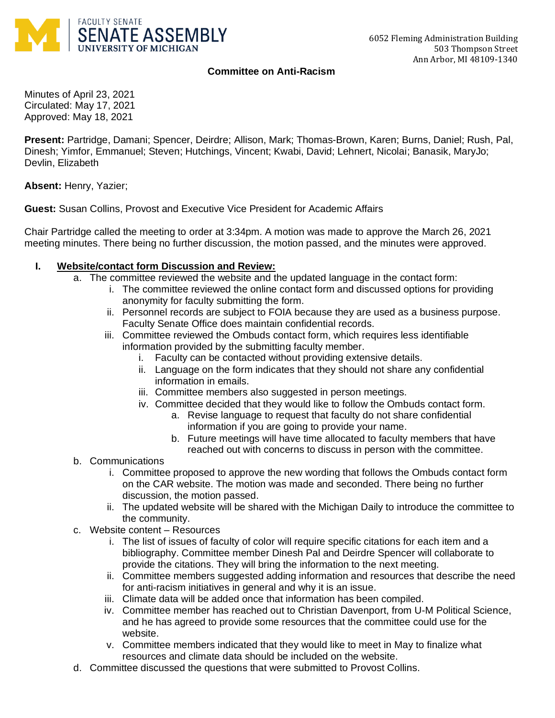

## **Committee on Anti-Racism**

Minutes of April 23, 2021 Circulated: May 17, 2021 Approved: May 18, 2021

**Present:** Partridge, Damani; Spencer, Deirdre; Allison, Mark; Thomas-Brown, Karen; Burns, Daniel; Rush, Pal, Dinesh; Yimfor, Emmanuel; Steven; Hutchings, Vincent; Kwabi, David; Lehnert, Nicolai; Banasik, MaryJo; Devlin, Elizabeth

**Absent:** Henry, Yazier;

**Guest:** Susan Collins, Provost and Executive Vice President for Academic Affairs

Chair Partridge called the meeting to order at 3:34pm. A motion was made to approve the March 26, 2021 meeting minutes. There being no further discussion, the motion passed, and the minutes were approved.

## **I. Website/contact form Discussion and Review:**

- a. The committee reviewed the website and the updated language in the contact form:
	- i. The committee reviewed the online contact form and discussed options for providing anonymity for faculty submitting the form.
	- ii. Personnel records are subject to FOIA because they are used as a business purpose. Faculty Senate Office does maintain confidential records.
	- iii. Committee reviewed the Ombuds contact form, which requires less identifiable information provided by the submitting faculty member.
		- i. Faculty can be contacted without providing extensive details.
		- ii. Language on the form indicates that they should not share any confidential information in emails.
		- iii. Committee members also suggested in person meetings.
		- iv. Committee decided that they would like to follow the Ombuds contact form.
			- a. Revise language to request that faculty do not share confidential information if you are going to provide your name.
			- b. Future meetings will have time allocated to faculty members that have reached out with concerns to discuss in person with the committee.
- b. Communications
	- i. Committee proposed to approve the new wording that follows the Ombuds contact form on the CAR website. The motion was made and seconded. There being no further discussion, the motion passed.
	- ii. The updated website will be shared with the Michigan Daily to introduce the committee to the community.
- c. Website content Resources
	- i. The list of issues of faculty of color will require specific citations for each item and a bibliography. Committee member Dinesh Pal and Deirdre Spencer will collaborate to provide the citations. They will bring the information to the next meeting.
	- ii. Committee members suggested adding information and resources that describe the need for anti-racism initiatives in general and why it is an issue.
	- iii. Climate data will be added once that information has been compiled.
	- iv. Committee member has reached out to Christian Davenport, from U-M Political Science, and he has agreed to provide some resources that the committee could use for the website.
	- v. Committee members indicated that they would like to meet in May to finalize what resources and climate data should be included on the website.
- d. Committee discussed the questions that were submitted to Provost Collins.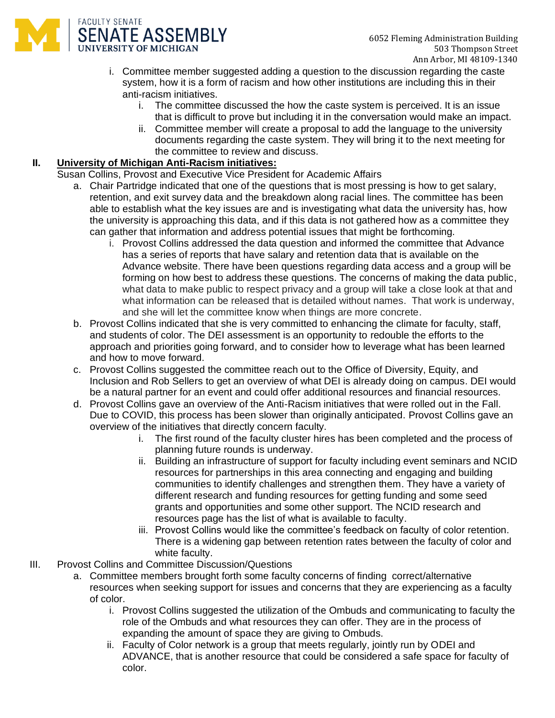- i. Committee member suggested adding a question to the discussion regarding the caste system, how it is a form of racism and how other institutions are including this in their anti-racism initiatives.
	- i. The committee discussed the how the caste system is perceived. It is an issue that is difficult to prove but including it in the conversation would make an impact.
	- ii. Committee member will create a proposal to add the language to the university documents regarding the caste system. They will bring it to the next meeting for the committee to review and discuss.

## **II. University of Michigan Anti-Racism initiatives:**

SENATE ASSEMBLY **UNIVERSITY OF MICHIGAN** 

**FACULTY SENATE** 

Susan Collins, Provost and Executive Vice President for Academic Affairs

- a. Chair Partridge indicated that one of the questions that is most pressing is how to get salary, retention, and exit survey data and the breakdown along racial lines. The committee has been able to establish what the key issues are and is investigating what data the university has, how the university is approaching this data, and if this data is not gathered how as a committee they can gather that information and address potential issues that might be forthcoming.
	- i. Provost Collins addressed the data question and informed the committee that Advance has a series of reports that have salary and retention data that is available on the Advance website. There have been questions regarding data access and a group will be forming on how best to address these questions. The concerns of making the data public, what data to make public to respect privacy and a group will take a close look at that and what information can be released that is detailed without names. That work is underway, and she will let the committee know when things are more concrete.
- b. Provost Collins indicated that she is very committed to enhancing the climate for faculty, staff, and students of color. The DEI assessment is an opportunity to redouble the efforts to the approach and priorities going forward, and to consider how to leverage what has been learned and how to move forward.
- c. Provost Collins suggested the committee reach out to the Office of Diversity, Equity, and Inclusion and Rob Sellers to get an overview of what DEI is already doing on campus. DEI would be a natural partner for an event and could offer additional resources and financial resources.
- d. Provost Collins gave an overview of the Anti-Racism initiatives that were rolled out in the Fall. Due to COVID, this process has been slower than originally anticipated. Provost Collins gave an overview of the initiatives that directly concern faculty.
	- i. The first round of the faculty cluster hires has been completed and the process of planning future rounds is underway.
	- ii. Building an infrastructure of support for faculty including event seminars and NCID resources for partnerships in this area connecting and engaging and building communities to identify challenges and strengthen them. They have a variety of different research and funding resources for getting funding and some seed grants and opportunities and some other support. The NCID research and resources page has the list of what is available to faculty.
	- iii. Provost Collins would like the committee's feedback on faculty of color retention. There is a widening gap between retention rates between the faculty of color and white faculty.
- III. Provost Collins and Committee Discussion/Questions
	- a. Committee members brought forth some faculty concerns of finding correct/alternative resources when seeking support for issues and concerns that they are experiencing as a faculty of color.
		- i. Provost Collins suggested the utilization of the Ombuds and communicating to faculty the role of the Ombuds and what resources they can offer. They are in the process of expanding the amount of space they are giving to Ombuds.
		- ii. Faculty of Color network is a group that meets regularly, jointly run by ODEI and ADVANCE, that is another resource that could be considered a safe space for faculty of color.